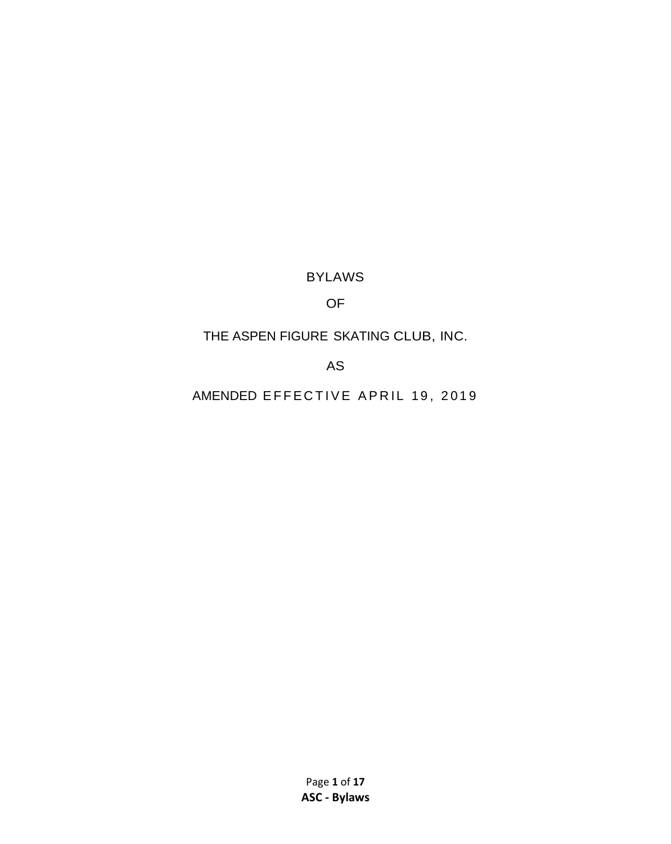BYLAWS

## OF

# THE ASPEN FIGURE SKATING CLUB, INC.

## AS

AMENDED EFFECTIVE APRIL 19, 2019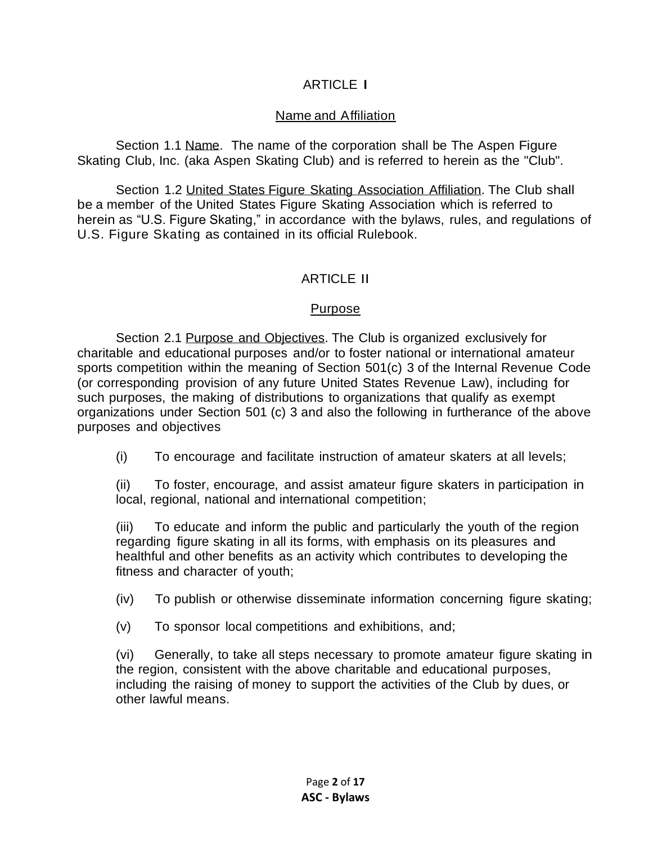## ARTICLE I

## Name and Affiliation

Section 1.1 Name. The name of the corporation shall be The Aspen Figure Skating Club, Inc. (aka Aspen Skating Club) and is referred to herein as the "Club".

Section 1.2 United States Figure Skating Association Affiliation. The Club shall be a member of the United States Figure Skating Association which is referred to herein as "U.S. Figure Skating," in accordance with the bylaws, rules, and regulations of U.S. Figure Skating as contained in its official Rulebook.

## ARTICLE II

## Purpose

Section 2.1 Purpose and Objectives. The Club is organized exclusively for charitable and educational purposes and/or to foster national or international amateur sports competition within the meaning of Section 501(c) 3 of the Internal Revenue Code (or corresponding provision of any future United States Revenue Law), including for such purposes, the making of distributions to organizations that qualify as exempt organizations under Section 501 (c) 3 and also the following in furtherance of the above purposes and objectives

(i) To encourage and facilitate instruction of amateur skaters at all levels;

(ii) To foster, encourage, and assist amateur figure skaters in participation in local, regional, national and international competition;

(iii) To educate and inform the public and particularly the youth of the region regarding figure skating in all its forms, with emphasis on its pleasures and healthful and other benefits as an activity which contributes to developing the fitness and character of youth;

(iv) To publish or otherwise disseminate information concerning figure skating;

(v) To sponsor local competitions and exhibitions, and;

(vi) Generally, to take all steps necessary to promote amateur figure skating in the region, consistent with the above charitable and educational purposes, including the raising of money to support the activities of the Club by dues, or other lawful means.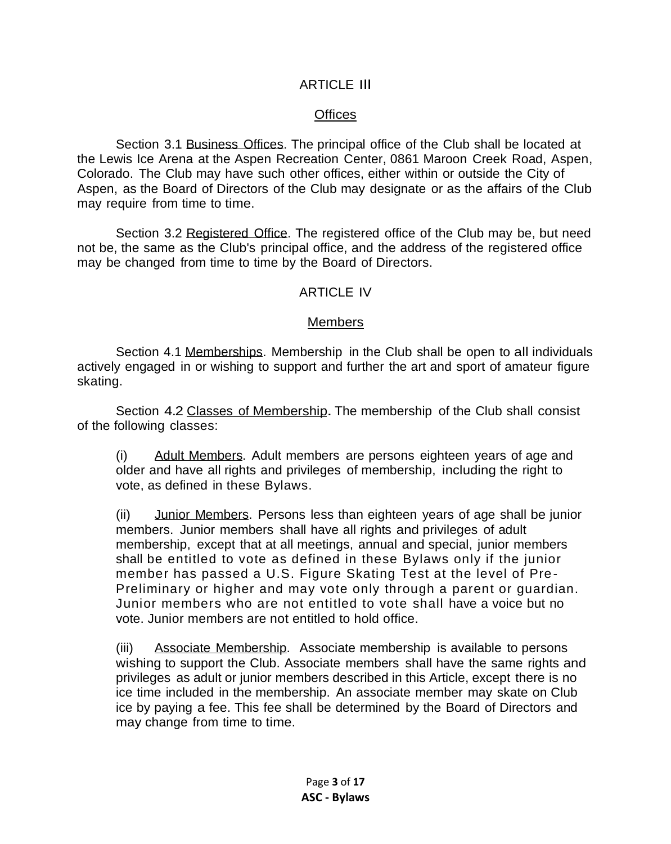#### ARTICLE Ill

## **Offices**

Section 3.1 Business Offices. The principal office of the Club shall be located at the Lewis Ice Arena at the Aspen Recreation Center, 0861 Maroon Creek Road, Aspen, Colorado. The Club may have such other offices, either within or outside the City of Aspen, as the Board of Directors of the Club may designate or as the affairs of the Club may require from time to time.

Section 3.2 Registered Office. The registered office of the Club may be, but need not be, the same as the Club's principal office, and the address of the registered office may be changed from time to time by the Board of Directors.

## ARTICLE IV

## **Members**

Section 4.1 Memberships. Membership in the Club shall be open to all individuals actively engaged in or wishing to support and further the art and sport of amateur figure skating.

Section 4.2 Classes of Membership. The membership of the Club shall consist of the following classes:

(i) Adult Members. Adult members are persons eighteen years of age and older and have all rights and privileges of membership, including the right to vote, as defined in these Bylaws.

(ii) Junior Members. Persons less than eighteen years of age shall be junior members. Junior members shall have all rights and privileges of adult membership, except that at all meetings, annual and special, junior members shall be entitled to vote as defined in these Bylaws only if the junior member has passed a U.S. Figure Skating Test at the level of Pre-Preliminary or higher and may vote only through a parent or guardian. Junior members who are not entitled to vote shall have a voice but no vote. Junior members are not entitled to hold office.

(iii) Associate Membership. Associate membership is available to persons wishing to support the Club. Associate members shall have the same rights and privileges as adult or junior members described in this Article, except there is no ice time included in the membership. An associate member may skate on Club ice by paying a fee. This fee shall be determined by the Board of Directors and may change from time to time.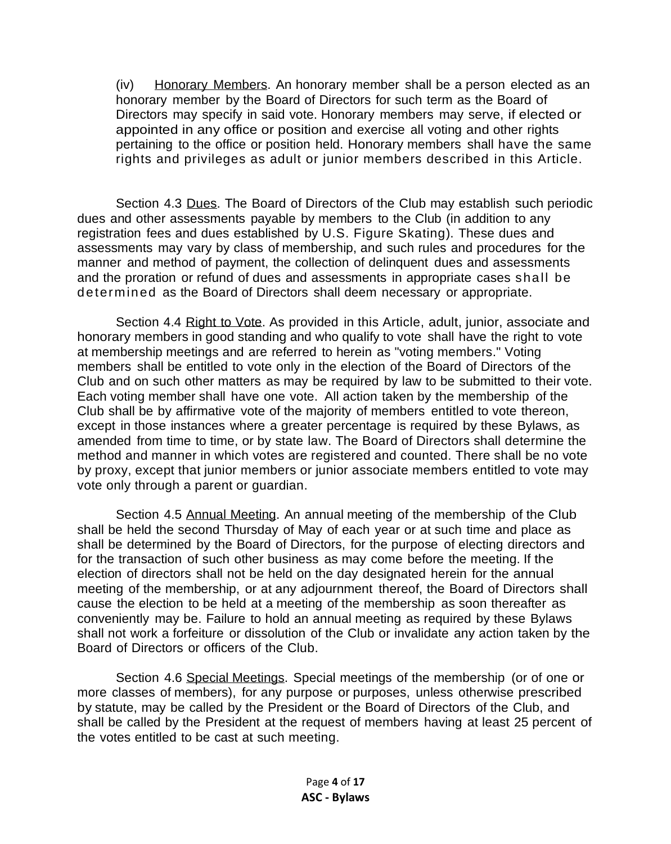(iv) Honorary Members. An honorary member shall be a person elected as an honorary member by the Board of Directors for such term as the Board of Directors may specify in said vote. Honorary members may serve, if elected or appointed in any office or position and exercise all voting and other rights pertaining to the office or position held. Honorary members shall have the same rights and privileges as adult or junior members described in this Article.

Section 4.3 Dues. The Board of Directors of the Club may establish such periodic dues and other assessments payable by members to the Club (in addition to any registration fees and dues established by U.S. Figure Skating). These dues and assessments may vary by class of membership, and such rules and procedures for the manner and method of payment, the collection of delinquent dues and assessments and the proration or refund of dues and assessments in appropriate cases shall be determined as the Board of Directors shall deem necessary or appropriate.

Section 4.4 Right to Vote. As provided in this Article, adult, junior, associate and honorary members in good standing and who qualify to vote shall have the right to vote at membership meetings and are referred to herein as "voting members." Voting members shall be entitled to vote only in the election of the Board of Directors of the Club and on such other matters as may be required by law to be submitted to their vote. Each voting member shall have one vote. All action taken by the membership of the Club shall be by affirmative vote of the majority of members entitled to vote thereon, except in those instances where a greater percentage is required by these Bylaws, as amended from time to time, or by state law. The Board of Directors shall determine the method and manner in which votes are registered and counted. There shall be no vote by proxy, except that junior members or junior associate members entitled to vote may vote only through a parent or guardian.

Section 4.5 Annual Meeting. An annual meeting of the membership of the Club shall be held the second Thursday of May of each year or at such time and place as shall be determined by the Board of Directors, for the purpose of electing directors and for the transaction of such other business as may come before the meeting. If the election of directors shall not be held on the day designated herein for the annual meeting of the membership, or at any adjournment thereof, the Board of Directors shall cause the election to be held at a meeting of the membership as soon thereafter as conveniently may be. Failure to hold an annual meeting as required by these Bylaws shall not work a forfeiture or dissolution of the Club or invalidate any action taken by the Board of Directors or officers of the Club.

Section 4.6 Special Meetings. Special meetings of the membership (or of one or more classes of members), for any purpose or purposes, unless otherwise prescribed by statute, may be called by the President or the Board of Directors of the Club, and shall be called by the President at the request of members having at least 25 percent of the votes entitled to be cast at such meeting.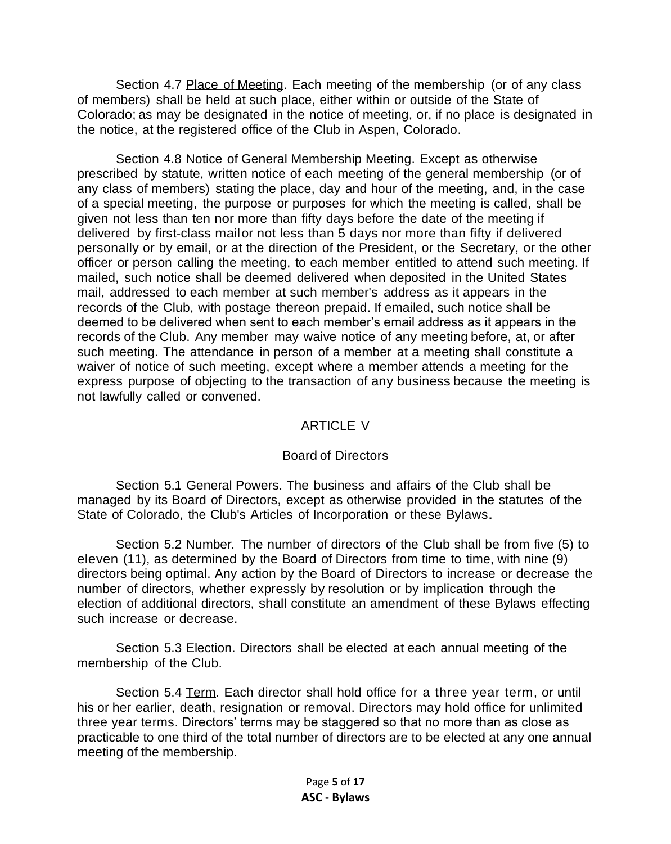Section 4.7 Place of Meeting. Each meeting of the membership (or of any class of members) shall be held at such place, either within or outside of the State of Colorado; as may be designated in the notice of meeting, or, if no place is designated in the notice, at the registered office of the Club in Aspen, Colorado.

Section 4.8 Notice of General Membership Meeting. Except as otherwise prescribed by statute, written notice of each meeting of the general membership (or of any class of members) stating the place, day and hour of the meeting, and, in the case of a special meeting, the purpose or purposes for which the meeting is called, shall be given not less than ten nor more than fifty days before the date of the meeting if delivered by first-class mailor not less than 5 days nor more than fifty if delivered personally or by email, or at the direction of the President, or the Secretary, or the other officer or person calling the meeting, to each member entitled to attend such meeting. If mailed, such notice shall be deemed delivered when deposited in the United States mail, addressed to each member at such member's address as it appears in the records of the Club, with postage thereon prepaid. If emailed, such notice shall be deemed to be delivered when sent to each member's email address as it appears in the records of the Club. Any member may waive notice of any meeting before, at, or after such meeting. The attendance in person of a member at a meeting shall constitute a waiver of notice of such meeting, except where a member attends a meeting for the express purpose of objecting to the transaction of any business because the meeting is not lawfully called or convened.

#### ARTICLE V

#### Board of Directors

Section 5.1 General Powers. The business and affairs of the Club shall be managed by its Board of Directors, except as otherwise provided in the statutes of the State of Colorado, the Club's Articles of Incorporation or these Bylaws.

Section 5.2 Number. The number of directors of the Club shall be from five (5) to eleven (11), as determined by the Board of Directors from time to time, with nine (9) directors being optimal. Any action by the Board of Directors to increase or decrease the number of directors, whether expressly by resolution or by implication through the election of additional directors, shall constitute an amendment of these Bylaws effecting such increase or decrease.

Section 5.3 Election. Directors shall be elected at each annual meeting of the membership of the Club.

Section 5.4 Term. Each director shall hold office for a three year term, or until his or her earlier, death, resignation or removal. Directors may hold office for unlimited three year terms. Directors' terms may be staggered so that no more than as close as practicable to one third of the total number of directors are to be elected at any one annual meeting of the membership.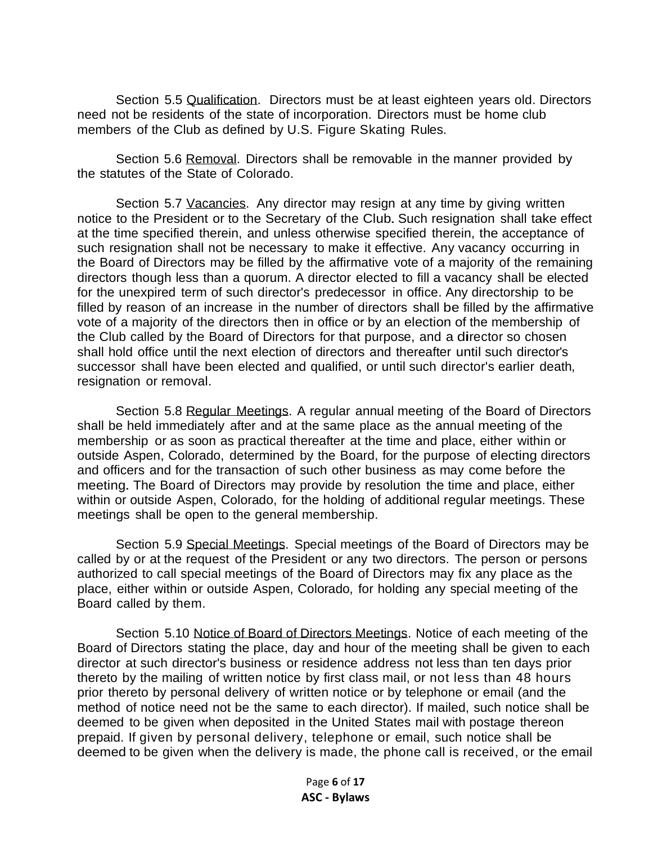Section 5.5 Qualification. Directors must be at least eighteen years old. Directors need not be residents of the state of incorporation. Directors must be home club members of the Club as defined by U.S. Figure Skating Rules.

Section 5.6 Removal. Directors shall be removable in the manner provided by the statutes of the State of Colorado.

Section 5.7 Vacancies. Any director may resign at any time by giving written notice to the President or to the Secretary of the Club. Such resignation shall take effect at the time specified therein, and unless otherwise specified therein, the acceptance of such resignation shall not be necessary to make it effective. Any vacancy occurring in the Board of Directors may be filled by the affirmative vote of a majority of the remaining directors though less than a quorum. A director elected to fill a vacancy shall be elected for the unexpired term of such director's predecessor in office. Any directorship to be filled by reason of an increase in the number of directors shall be filled by the affirmative vote of a majority of the directors then in office or by an election of the membership of the Club called by the Board of Directors for that purpose, and a director so chosen shall hold office until the next election of directors and thereafter until such director's successor shall have been elected and qualified, or until such director's earlier death, resignation or removal.

Section 5.8 Regular Meetings. A regular annual meeting of the Board of Directors shall be held immediately after and at the same place as the annual meeting of the membership or as soon as practical thereafter at the time and place, either within or outside Aspen, Colorado, determined by the Board, for the purpose of electing directors and officers and for the transaction of such other business as may come before the meeting. The Board of Directors may provide by resolution the time and place, either within or outside Aspen, Colorado, for the holding of additional regular meetings. These meetings shall be open to the general membership.

Section 5.9 Special Meetings. Special meetings of the Board of Directors may be called by or at the request of the President or any two directors. The person or persons authorized to call special meetings of the Board of Directors may fix any place as the place, either within or outside Aspen, Colorado, for holding any special meeting of the Board called by them.

Section 5.10 Notice of Board of Directors Meetings. Notice of each meeting of the Board of Directors stating the place, day and hour of the meeting shall be given to each director at such director's business or residence address not less than ten days prior thereto by the mailing of written notice by first class mail, or not less than 48 hours prior thereto by personal delivery of written notice or by telephone or email (and the method of notice need not be the same to each director). If mailed, such notice shall be deemed to be given when deposited in the United States mail with postage thereon prepaid. If given by personal delivery, telephone or email, such notice shall be deemed to be given when the delivery is made, the phone call is received, or the email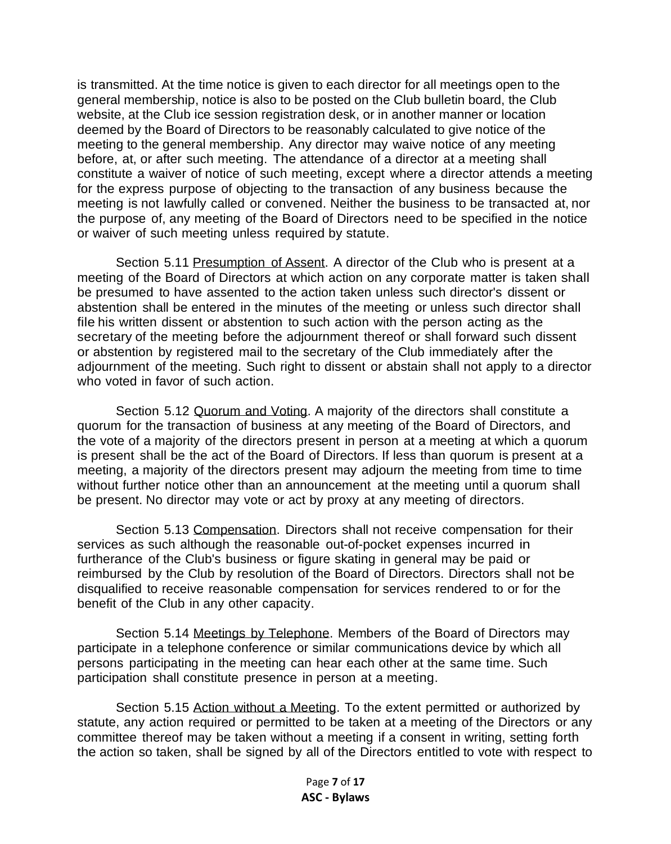is transmitted. At the time notice is given to each director for all meetings open to the general membership, notice is also to be posted on the Club bulletin board, the Club website, at the Club ice session registration desk, or in another manner or location deemed by the Board of Directors to be reasonably calculated to give notice of the meeting to the general membership. Any director may waive notice of any meeting before, at, or after such meeting. The attendance of a director at a meeting shall constitute a waiver of notice of such meeting, except where a director attends a meeting for the express purpose of objecting to the transaction of any business because the meeting is not lawfully called or convened. Neither the business to be transacted at, nor the purpose of, any meeting of the Board of Directors need to be specified in the notice or waiver of such meeting unless required by statute.

Section 5.11 Presumption of Assent. A director of the Club who is present at a meeting of the Board of Directors at which action on any corporate matter is taken shall be presumed to have assented to the action taken unless such director's dissent or abstention shall be entered in the minutes of the meeting or unless such director shall file his written dissent or abstention to such action with the person acting as the secretary of the meeting before the adjournment thereof or shall forward such dissent or abstention by registered mail to the secretary of the Club immediately after the adjournment of the meeting. Such right to dissent or abstain shall not apply to a director who voted in favor of such action.

Section 5.12 Quorum and Voting. A majority of the directors shall constitute a quorum for the transaction of business at any meeting of the Board of Directors, and the vote of a majority of the directors present in person at a meeting at which a quorum is present shall be the act of the Board of Directors. If less than quorum is present at a meeting, a majority of the directors present may adjourn the meeting from time to time without further notice other than an announcement at the meeting until a quorum shall be present. No director may vote or act by proxy at any meeting of directors.

Section 5.13 Compensation. Directors shall not receive compensation for their services as such although the reasonable out-of-pocket expenses incurred in furtherance of the Club's business or figure skating in general may be paid or reimbursed by the Club by resolution of the Board of Directors. Directors shall not be disqualified to receive reasonable compensation for services rendered to or for the benefit of the Club in any other capacity.

Section 5.14 Meetings by Telephone. Members of the Board of Directors may participate in a telephone conference or similar communications device by which all persons participating in the meeting can hear each other at the same time. Such participation shall constitute presence in person at a meeting.

Section 5.15 Action without a Meeting. To the extent permitted or authorized by statute, any action required or permitted to be taken at a meeting of the Directors or any committee thereof may be taken without a meeting if a consent in writing, setting forth the action so taken, shall be signed by all of the Directors entitled to vote with respect to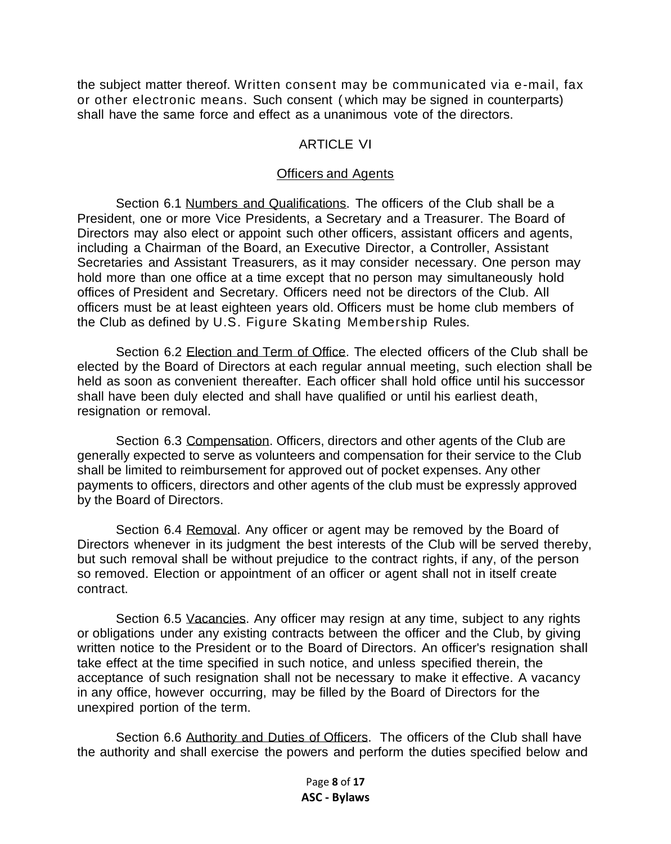the subject matter thereof. Written consent may be communicated via e-mail, fax or other electronic means. Such consent ( which may be signed in counterparts) shall have the same force and effect as a unanimous vote of the directors.

#### ARTICLE VI

#### Officers and Agents

Section 6.1 Numbers and Qualifications. The officers of the Club shall be a President, one or more Vice Presidents, a Secretary and a Treasurer. The Board of Directors may also elect or appoint such other officers, assistant officers and agents, including a Chairman of the Board, an Executive Director, a Controller, Assistant Secretaries and Assistant Treasurers, as it may consider necessary. One person may hold more than one office at a time except that no person may simultaneously hold offices of President and Secretary. Officers need not be directors of the Club. All officers must be at least eighteen years old. Officers must be home club members of the Club as defined by U.S. Figure Skating Membership Rules.

Section 6.2 Election and Term of Office. The elected officers of the Club shall be elected by the Board of Directors at each regular annual meeting, such election shall be held as soon as convenient thereafter. Each officer shall hold office until his successor shall have been duly elected and shall have qualified or until his earliest death, resignation or removal.

Section 6.3 Compensation. Officers, directors and other agents of the Club are generally expected to serve as volunteers and compensation for their service to the Club shall be limited to reimbursement for approved out of pocket expenses. Any other payments to officers, directors and other agents of the club must be expressly approved by the Board of Directors.

Section 6.4 Removal. Any officer or agent may be removed by the Board of Directors whenever in its judgment the best interests of the Club will be served thereby, but such removal shall be without prejudice to the contract rights, if any, of the person so removed. Election or appointment of an officer or agent shall not in itself create contract.

Section 6.5 Vacancies. Any officer may resign at any time, subject to any rights or obligations under any existing contracts between the officer and the Club, by giving written notice to the President or to the Board of Directors. An officer's resignation shall take effect at the time specified in such notice, and unless specified therein, the acceptance of such resignation shall not be necessary to make it effective. A vacancy in any office, however occurring, may be filled by the Board of Directors for the unexpired portion of the term.

Section 6.6 Authority and Duties of Officers. The officers of the Club shall have the authority and shall exercise the powers and perform the duties specified below and

> Page **8** of **17 ASC - Bylaws**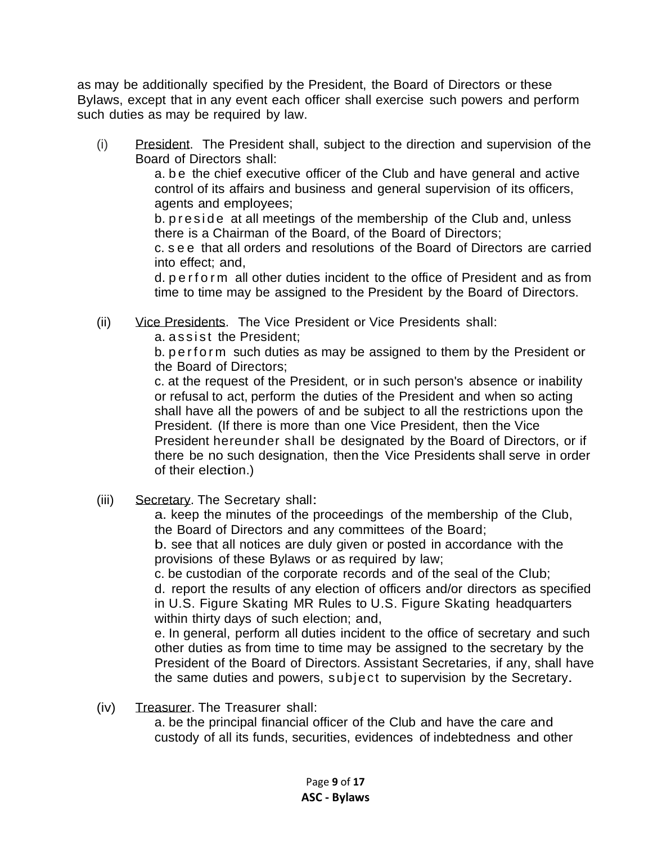as may be additionally specified by the President, the Board of Directors or these Bylaws, except that in any event each officer shall exercise such powers and perform such duties as may be required by law.

(i) President. The President shall, subject to the direction and supervision of the Board of Directors shall:

a. be the chief executive officer of the Club and have general and active control of its affairs and business and general supervision of its officers, agents and employees;

b. p r e side at all meetings of the membership of the Club and, unless there is a Chairman of the Board, of the Board of Directors;

c. s e e that all orders and resolutions of the Board of Directors are carried into effect; and,

d. p e r f o r m all other duties incident to the office of President and as from time to time may be assigned to the President by the Board of Directors.

(ii) Vice Presidents. The Vice President or Vice Presidents shall:

a. assist the President:

b. p e r f o r m such duties as may be assigned to them by the President or the Board of Directors;

c. at the request of the President, or in such person's absence or inability or refusal to act, perform the duties of the President and when so acting shall have all the powers of and be subject to all the restrictions upon the President. (If there is more than one Vice President, then the Vice President hereunder shall be designated by the Board of Directors, or if there be no such designation, then the Vice Presidents shall serve in order of their election.)

(iii) Secretary. The Secretary shall:

a. keep the minutes of the proceedings of the membership of the Club, the Board of Directors and any committees of the Board; b. see that all notices are duly given or posted in accordance with the

provisions of these Bylaws or as required by law;

c. be custodian of the corporate records and of the seal of the Club; d. report the results of any election of officers and/or directors as specified in U.S. Figure Skating MR Rules to U.S. Figure Skating headquarters within thirty days of such election; and,

e. In general, perform all duties incident to the office of secretary and such other duties as from time to time may be assigned to the secretary by the President of the Board of Directors. Assistant Secretaries, if any, shall have the same duties and powers, subject to supervision by the Secretary.

(iv) Treasurer. The Treasurer shall:

a. be the principal financial officer of the Club and have the care and custody of all its funds, securities, evidences of indebtedness and other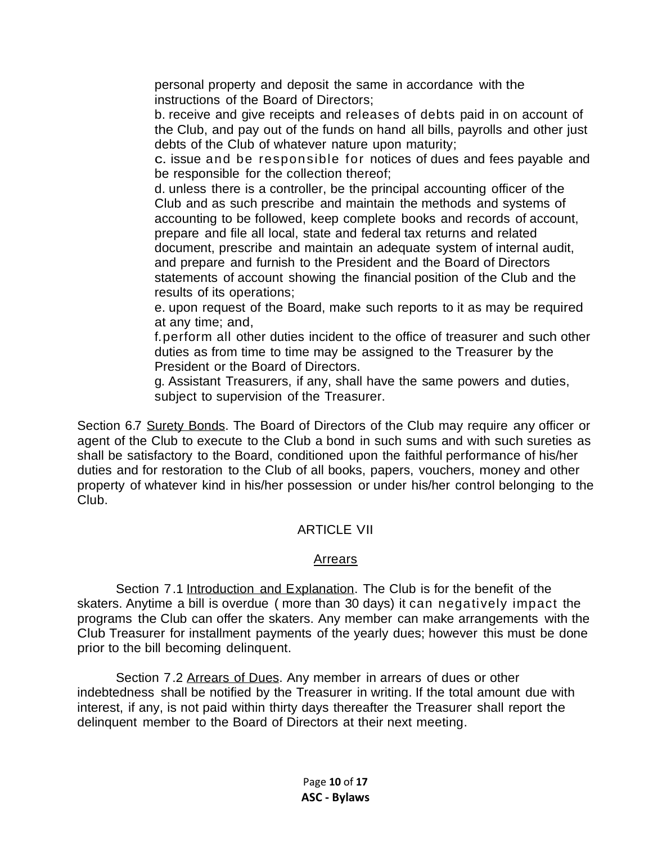personal property and deposit the same in accordance with the instructions of the Board of Directors;

b. receive and give receipts and releases of debts paid in on account of the Club, and pay out of the funds on hand all bills, payrolls and other just debts of the Club of whatever nature upon maturity;

c. issue and be responsible for notices of dues and fees payable and be responsible for the collection thereof;

d. unless there is a controller, be the principal accounting officer of the Club and as such prescribe and maintain the methods and systems of accounting to be followed, keep complete books and records of account, prepare and file all local, state and federal tax returns and related document, prescribe and maintain an adequate system of internal audit, and prepare and furnish to the President and the Board of Directors statements of account showing the financial position of the Club and the results of its operations;

e. upon request of the Board, make such reports to it as may be required at any time; and,

f.perform all other duties incident to the office of treasurer and such other duties as from time to time may be assigned to the Treasurer by the President or the Board of Directors.

g. Assistant Treasurers, if any, shall have the same powers and duties, subject to supervision of the Treasurer.

Section 6.7 Surety Bonds. The Board of Directors of the Club may require any officer or agent of the Club to execute to the Club a bond in such sums and with such sureties as shall be satisfactory to the Board, conditioned upon the faithful performance of his/her duties and for restoration to the Club of all books, papers, vouchers, money and other property of whatever kind in his/her possession or under his/her control belonging to the Club.

## ARTICLE VII

#### Arrears

Section 7.1 Introduction and Explanation. The Club is for the benefit of the skaters. Anytime a bill is overdue ( more than 30 days) it can negatively impact the programs the Club can offer the skaters. Any member can make arrangements with the Club Treasurer for installment payments of the yearly dues; however this must be done prior to the bill becoming delinquent.

Section 7.2 Arrears of Dues. Any member in arrears of dues or other indebtedness shall be notified by the Treasurer in writing. If the total amount due with interest, if any, is not paid within thirty days thereafter the Treasurer shall report the delinquent member to the Board of Directors at their next meeting.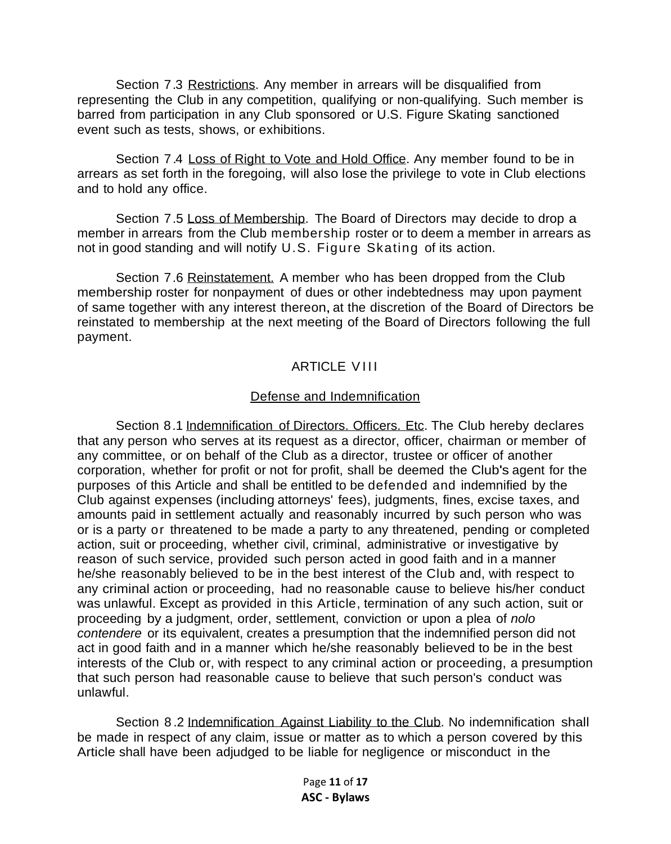Section 7.3 Restrictions. Any member in arrears will be disqualified from representing the Club in any competition, qualifying or non-qualifying. Such member is barred from participation in any Club sponsored or U.S. Figure Skating sanctioned event such as tests, shows, or exhibitions.

Section 7.4 Loss of Right to Vote and Hold Office. Any member found to be in arrears as set forth in the foregoing, will also lose the privilege to vote in Club elections and to hold any office.

Section 7.5 Loss of Membership. The Board of Directors may decide to drop a member in arrears from the Club membership roster or to deem a member in arrears as not in good standing and will notify U.S. Figure Skating of its action.

Section 7.6 Reinstatement. A member who has been dropped from the Club membership roster for nonpayment of dues or other indebtedness may upon payment of same together with any interest thereon, at the discretion of the Board of Directors be reinstated to membership at the next meeting of the Board of Directors following the full payment.

## **ARTICLE VIII**

#### Defense and Indemnification

Section 8.1 Indemnification of Directors. Officers. Etc. The Club hereby declares that any person who serves at its request as a director, officer, chairman or member of any committee, or on behalf of the Club as a director, trustee or officer of another corporation, whether for profit or not for profit, shall be deemed the Club's agent for the purposes of this Article and shall be entitled to be defended and indemnified by the Club against expenses (including attorneys' fees), judgments, fines, excise taxes, and amounts paid in settlement actually and reasonably incurred by such person who was or is a party or threatened to be made a party to any threatened, pending or completed action, suit or proceeding, whether civil, criminal, administrative or investigative by reason of such service, provided such person acted in good faith and in a manner he/she reasonably believed to be in the best interest of the Club and, with respect to any criminal action or proceeding, had no reasonable cause to believe his/her conduct was unlawful. Except as provided in this Article, termination of any such action, suit or proceeding by a judgment, order, settlement, conviction or upon a plea of *nolo contendere* or its equivalent, creates a presumption that the indemnified person did not act in good faith and in a manner which he/she reasonably believed to be in the best interests of the Club or, with respect to any criminal action or proceeding, a presumption that such person had reasonable cause to believe that such person's conduct was unlawful.

Section 8 .2 Indemnification Against Liability to the Club. No indemnification shall be made in respect of any claim, issue or matter as to which a person covered by this Article shall have been adjudged to be liable for negligence or misconduct in the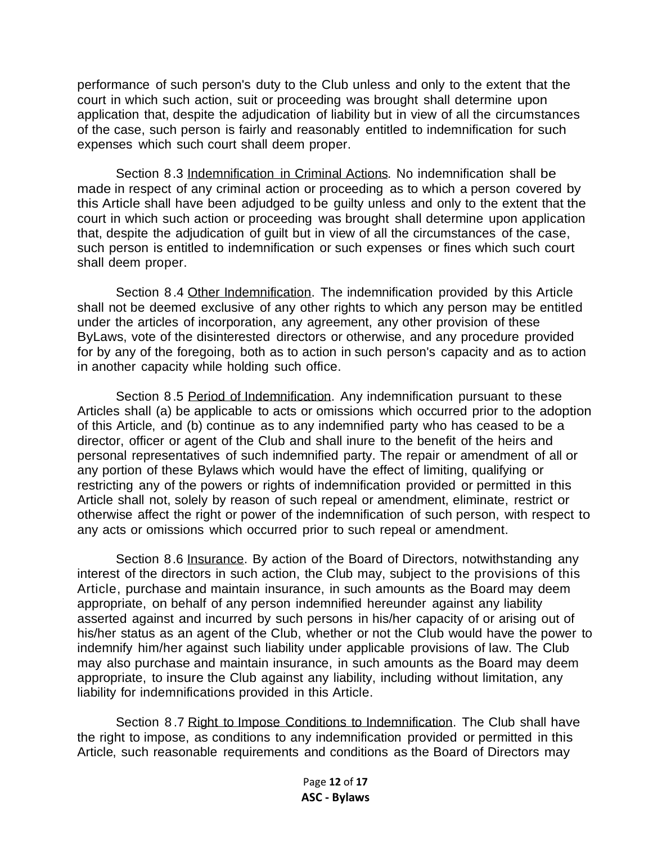performance of such person's duty to the Club unless and only to the extent that the court in which such action, suit or proceeding was brought shall determine upon application that, despite the adjudication of liability but in view of all the circumstances of the case, such person is fairly and reasonably entitled to indemnification for such expenses which such court shall deem proper.

Section 8.3 Indemnification in Criminal Actions. No indemnification shall be made in respect of any criminal action or proceeding as to which a person covered by this Article shall have been adjudged to be guilty unless and only to the extent that the court in which such action or proceeding was brought shall determine upon application that, despite the adjudication of guilt but in view of all the circumstances of the case, such person is entitled to indemnification or such expenses or fines which such court shall deem proper.

Section 8.4 Other Indemnification. The indemnification provided by this Article shall not be deemed exclusive of any other rights to which any person may be entitled under the articles of incorporation, any agreement, any other provision of these ByLaws, vote of the disinterested directors or otherwise, and any procedure provided for by any of the foregoing, both as to action in such person's capacity and as to action in another capacity while holding such office.

Section 8.5 Period of Indemnification. Any indemnification pursuant to these Articles shall (a) be applicable to acts or omissions which occurred prior to the adoption of this Article, and (b) continue as to any indemnified party who has ceased to be a director, officer or agent of the Club and shall inure to the benefit of the heirs and personal representatives of such indemnified party. The repair or amendment of all or any portion of these Bylaws which would have the effect of limiting, qualifying or restricting any of the powers or rights of indemnification provided or permitted in this Article shall not, solely by reason of such repeal or amendment, eliminate, restrict or otherwise affect the right or power of the indemnification of such person, with respect to any acts or omissions which occurred prior to such repeal or amendment.

Section 8.6 Insurance. By action of the Board of Directors, notwithstanding any interest of the directors in such action, the Club may, subject to the provisions of this Article, purchase and maintain insurance, in such amounts as the Board may deem appropriate, on behalf of any person indemnified hereunder against any liability asserted against and incurred by such persons in his/her capacity of or arising out of his/her status as an agent of the Club, whether or not the Club would have the power to indemnify him/her against such liability under applicable provisions of law. The Club may also purchase and maintain insurance, in such amounts as the Board may deem appropriate, to insure the Club against any liability, including without limitation, any liability for indemnifications provided in this Article.

Section 8.7 Right to Impose Conditions to Indemnification. The Club shall have the right to impose, as conditions to any indemnification provided or permitted in this Article, such reasonable requirements and conditions as the Board of Directors may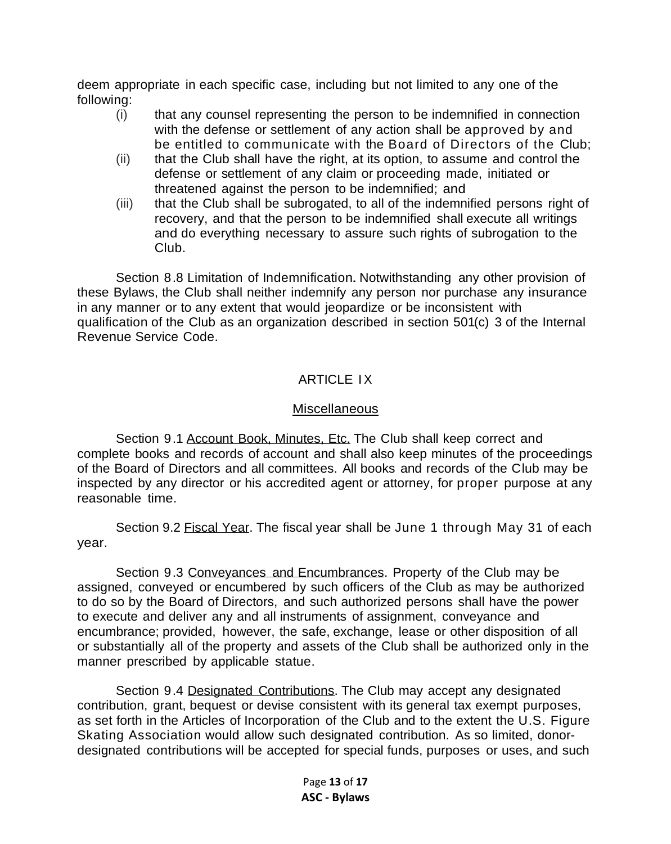deem appropriate in each specific case, including but not limited to any one of the following:

- (i) that any counsel representing the person to be indemnified in connection with the defense or settlement of any action shall be approved by and be entitled to communicate with the Board of Directors of the Club;
- (ii) that the Club shall have the right, at its option, to assume and control the defense or settlement of any claim or proceeding made, initiated or threatened against the person to be indemnified; and
- (iii) that the Club shall be subrogated, to all of the indemnified persons right of recovery, and that the person to be indemnified shall execute all writings and do everything necessary to assure such rights of subrogation to the Club.

Section 8.8 Limitation of Indemnification. Notwithstanding any other provision of these Bylaws, the Club shall neither indemnify any person nor purchase any insurance in any manner or to any extent that would jeopardize or be inconsistent with qualification of the Club as an organization described in section 501(c) 3 of the Internal Revenue Service Code.

## ARTICLE IX

## Miscellaneous

Section 9.1 Account Book, Minutes, Etc. The Club shall keep correct and complete books and records of account and shall also keep minutes of the proceedings of the Board of Directors and all committees. All books and records of the Club may be inspected by any director or his accredited agent or attorney, for proper purpose at any reasonable time.

Section 9.2 Fiscal Year. The fiscal year shall be June 1 through May 31 of each year.

Section 9.3 Conveyances and Encumbrances. Property of the Club may be assigned, conveyed or encumbered by such officers of the Club as may be authorized to do so by the Board of Directors, and such authorized persons shall have the power to execute and deliver any and all instruments of assignment, conveyance and encumbrance; provided, however, the safe, exchange, lease or other disposition of all or substantially all of the property and assets of the Club shall be authorized only in the manner prescribed by applicable statue.

Section 9.4 Designated Contributions. The Club may accept any designated contribution, grant, bequest or devise consistent with its general tax exempt purposes, as set forth in the Articles of Incorporation of the Club and to the extent the U.S. Figure Skating Association would allow such designated contribution. As so limited, donordesignated contributions will be accepted for special funds, purposes or uses, and such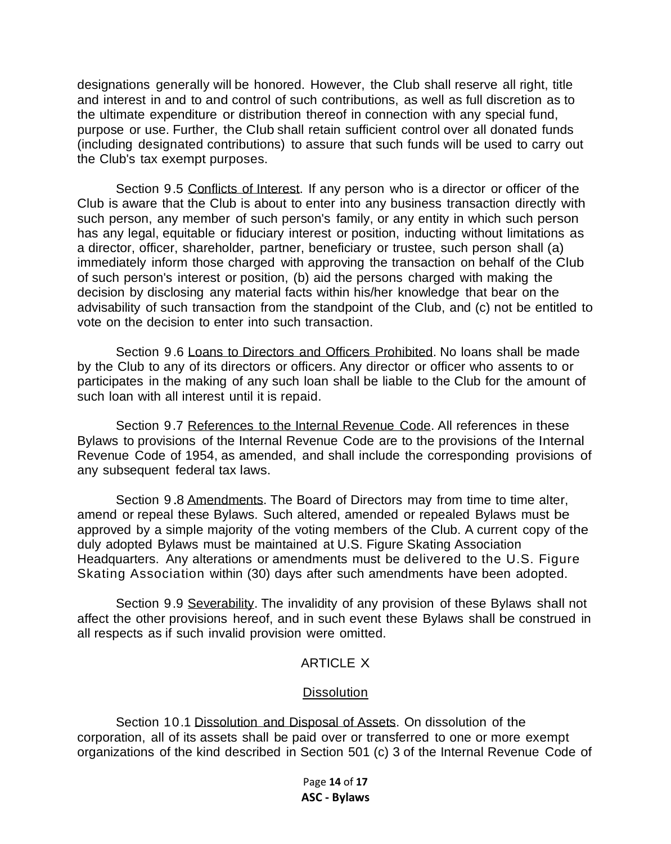designations generally will be honored. However, the Club shall reserve all right, title and interest in and to and control of such contributions, as well as full discretion as to the ultimate expenditure or distribution thereof in connection with any special fund, purpose or use. Further, the Club shall retain sufficient control over all donated funds (including designated contributions) to assure that such funds will be used to carry out the Club's tax exempt purposes.

Section 9.5 Conflicts of Interest. If any person who is a director or officer of the Club is aware that the Club is about to enter into any business transaction directly with such person, any member of such person's family, or any entity in which such person has any legal, equitable or fiduciary interest or position, inducting without limitations as a director, officer, shareholder, partner, beneficiary or trustee, such person shall (a) immediately inform those charged with approving the transaction on behalf of the Club of such person's interest or position, (b) aid the persons charged with making the decision by disclosing any material facts within his/her knowledge that bear on the advisability of such transaction from the standpoint of the Club, and (c) not be entitled to vote on the decision to enter into such transaction.

Section 9.6 Loans to Directors and Officers Prohibited. No loans shall be made by the Club to any of its directors or officers. Any director or officer who assents to or participates in the making of any such loan shall be liable to the Club for the amount of such loan with all interest until it is repaid.

Section 9.7 References to the Internal Revenue Code. All references in these Bylaws to provisions of the Internal Revenue Code are to the provisions of the Internal Revenue Code of 1954, as amended, and shall include the corresponding provisions of any subsequent federal tax laws.

Section 9.8 Amendments. The Board of Directors may from time to time alter, amend or repeal these Bylaws. Such altered, amended or repealed Bylaws must be approved by a simple majority of the voting members of the Club. A current copy of the duly adopted Bylaws must be maintained at U.S. Figure Skating Association Headquarters. Any alterations or amendments must be delivered to the U.S. Figure Skating Association within (30) days after such amendments have been adopted.

Section 9.9 Severability. The invalidity of any provision of these Bylaws shall not affect the other provisions hereof, and in such event these Bylaws shall be construed in all respects as if such invalid provision were omitted.

#### ARTICLE X

#### **Dissolution**

Section 10.1 Dissolution and Disposal of Assets. On dissolution of the corporation, all of its assets shall be paid over or transferred to one or more exempt organizations of the kind described in Section 501 (c) 3 of the Internal Revenue Code of

> Page **14** of **17 ASC - Bylaws**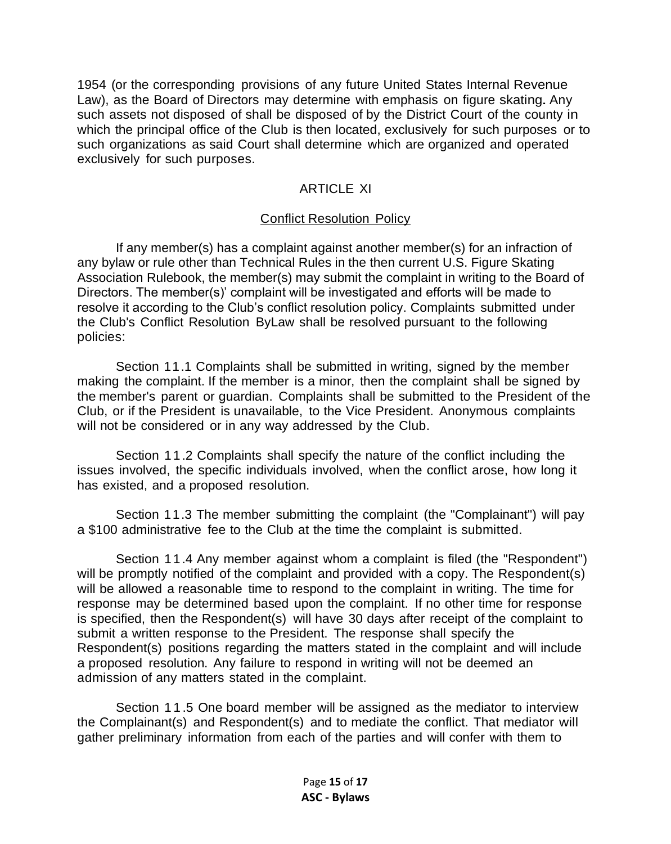1954 (or the corresponding provisions of any future United States Internal Revenue Law), as the Board of Directors may determine with emphasis on figure skating. Any such assets not disposed of shall be disposed of by the District Court of the county in which the principal office of the Club is then located, exclusively for such purposes or to such organizations as said Court shall determine which are organized and operated exclusively for such purposes.

### ARTICLE XI

#### Conflict Resolution Policy

If any member(s) has a complaint against another member(s) for an infraction of any bylaw or rule other than Technical Rules in the then current U.S. Figure Skating Association Rulebook, the member(s) may submit the complaint in writing to the Board of Directors. The member(s)' complaint will be investigated and efforts will be made to resolve it according to the Club's conflict resolution policy. Complaints submitted under the Club's Conflict Resolution ByLaw shall be resolved pursuant to the following policies:

Section 11.1 Complaints shall be submitted in writing, signed by the member making the complaint. If the member is a minor, then the complaint shall be signed by the member's parent or guardian. Complaints shall be submitted to the President of the Club, or if the President is unavailable, to the Vice President. Anonymous complaints will not be considered or in any way addressed by the Club.

Section 11.2 Complaints shall specify the nature of the conflict including the issues involved, the specific individuals involved, when the conflict arose, how long it has existed, and a proposed resolution.

Section 11.3 The member submitting the complaint (the "Complainant") will pay a \$100 administrative fee to the Club at the time the complaint is submitted.

Section 11.4 Any member against whom a complaint is filed (the "Respondent") will be promptly notified of the complaint and provided with a copy. The Respondent(s) will be allowed a reasonable time to respond to the complaint in writing. The time for response may be determined based upon the complaint. If no other time for response is specified, then the Respondent(s) will have 30 days after receipt of the complaint to submit a written response to the President. The response shall specify the Respondent(s) positions regarding the matters stated in the complaint and will include a proposed resolution. Any failure to respond in writing will not be deemed an admission of any matters stated in the complaint.

Section 1 1 .5 One board member will be assigned as the mediator to interview the Complainant(s) and Respondent(s) and to mediate the conflict. That mediator will gather preliminary information from each of the parties and will confer with them to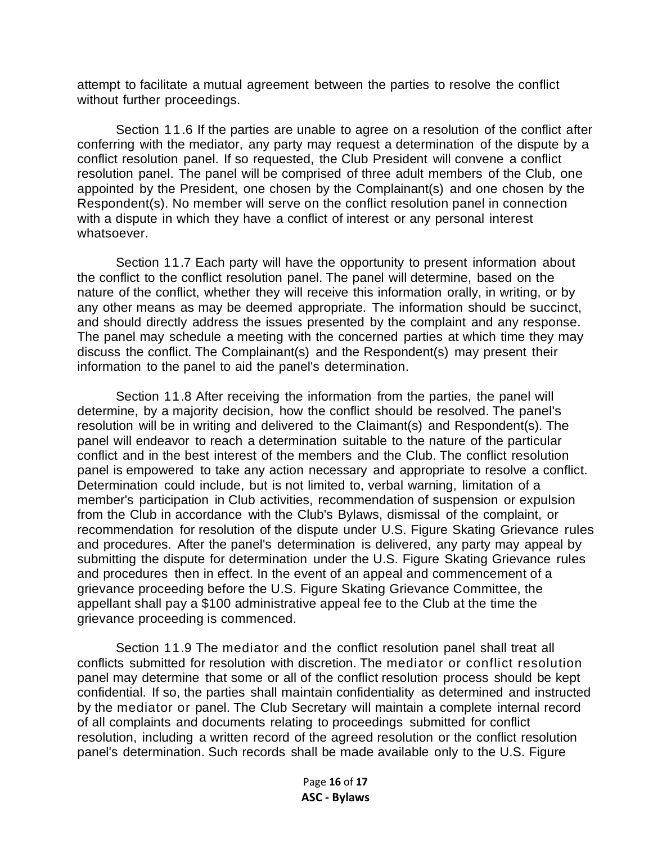attempt to facilitate a mutual agreement between the parties to resolve the conflict without further proceedings.

Section 11.6 If the parties are unable to agree on a resolution of the conflict after conferring with the mediator, any party may request a determination of the dispute by a conflict resolution panel. If so requested, the Club President will convene a conflict resolution panel. The panel will be comprised of three adult members of the Club, one appointed by the President, one chosen by the Complainant(s) and one chosen by the Respondent(s). No member will serve on the conflict resolution panel in connection with a dispute in which they have a conflict of interest or any personal interest whatsoever.

Section 11.7 Each party will have the opportunity to present information about the conflict to the conflict resolution panel. The panel will determine, based on the nature of the conflict, whether they will receive this information orally, in writing, or by any other means as may be deemed appropriate. The information should be succinct, and should directly address the issues presented by the complaint and any response. The panel may schedule a meeting with the concerned parties at which time they may discuss the conflict. The Complainant(s) and the Respondent(s) may present their information to the panel to aid the panel's determination.

Section 11.8 After receiving the information from the parties, the panel will determine, by a majority decision, how the conflict should be resolved. The panel's resolution will be in writing and delivered to the Claimant(s) and Respondent(s). The panel will endeavor to reach a determination suitable to the nature of the particular conflict and in the best interest of the members and the Club. The conflict resolution panel is empowered to take any action necessary and appropriate to resolve a conflict. Determination could include, but is not limited to, verbal warning, limitation of a member's participation in Club activities, recommendation of suspension or expulsion from the Club in accordance with the Club's Bylaws, dismissal of the complaint, or recommendation for resolution of the dispute under U.S. Figure Skating Grievance rules and procedures. After the panel's determination is delivered, any party may appeal by submitting the dispute for determination under the U.S. Figure Skating Grievance rules and procedures then in effect. In the event of an appeal and commencement of a grievance proceeding before the U.S. Figure Skating Grievance Committee, the appellant shall pay a \$100 administrative appeal fee to the Club at the time the grievance proceeding is commenced.

Section 11.9 The mediator and the conflict resolution panel shall treat all conflicts submitted for resolution with discretion. The mediator or conflict resolution panel may determine that some or all of the conflict resolution process should be kept confidential. If so, the parties shall maintain confidentiality as determined and instructed by the mediator or panel. The Club Secretary will maintain a complete internal record of all complaints and documents relating to proceedings submitted for conflict resolution, including a written record of the agreed resolution or the conflict resolution panel's determination. Such records shall be made available only to the U.S. Figure